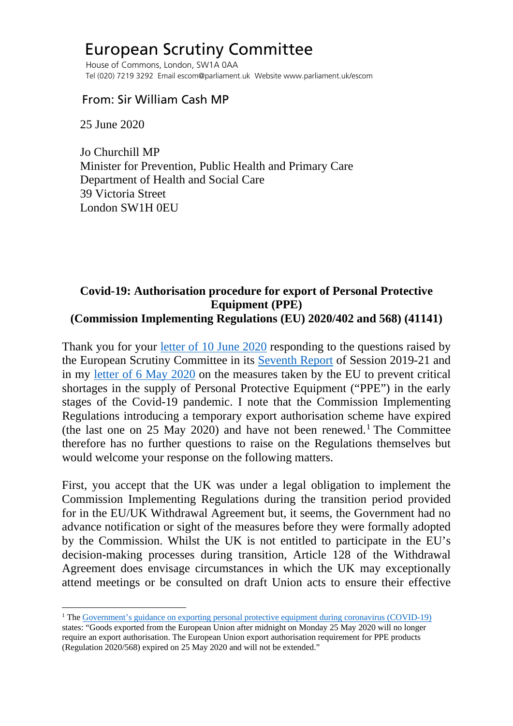## European Scrutiny Committee

 House of Commons, London, SW1A 0AA Tel (020) 7219 3292 Email escom@parliament.uk Website www.parliament.uk/escom

## From: Sir William Cash MP

25 June 2020

 Jo Churchill MP Minister for Prevention, Public Health and Primary Care Department of Health and Social Care 39 Victoria Street London SW1H 0EU

## **Covid-19: Authorisation procedure for export of Personal Protective Equipment (PPE) (Commission Implementing Regulations (EU) 2020/402 and 568) (41141)**

Thank you for your [letter of 10 June 2020](http://europeanmemoranda.cabinetoffice.gov.uk/files/2020/06/200610_Letter_from_Jo_Churchill_to_Sir_William_Cash_re_Covid-19_Authorisation_procedure_for_export_of_Personal_Protective_Equipment_(41141)_CIR_2020-402_and_568_ref_CELEX_32020R0402-EN-TXT.pdf) responding to the questions raised by the European Scrutiny Committee in its [Seventh Report](https://publications.parliament.uk/pa/cm5801/cmselect/cmeuleg/229-iv/22908.htm#_idTextAnchor042) of Session 2019-21 and in my [letter of 6 May 2020](https://committees.parliament.uk/publications/1031/documents/8478/default/) on the measures taken by the EU to prevent critical shortages in the supply of Personal Protective Equipment ("PPE") in the early stages of the Covid-19 pandemic. I note that the Commission Implementing Regulations introducing a temporary export authorisation scheme have expired (the last one on 25 May 2020) and have not been renewed.<sup>[1](#page-0-0)</sup> The Committee therefore has no further questions to raise on the Regulations themselves but would welcome your response on the following matters.

First, you accept that the UK was under a legal obligation to implement the Commission Implementing Regulations during the transition period provided for in the EU/UK Withdrawal Agreement but, it seems, the Government had no advance notification or sight of the measures before they were formally adopted by the Commission. Whilst the UK is not entitled to participate in the EU's decision-making processes during transition, Article 128 of the Withdrawal Agreement does envisage circumstances in which the UK may exceptionally attend meetings or be consulted on draft Union acts to ensure their effective

<span id="page-0-0"></span><sup>&</sup>lt;sup>1</sup> The [Government's guidance on exporting personal protective equipment during coronavirus \(COVID-19\)](https://www.gov.uk/guidance/exporting-personal-protective-equipment-during-coronavirus-covid-19) states: "Goods exported from the European Union after midnight on Monday 25 May 2020 will no longer require an export authorisation. The European Union export authorisation requirement for PPE products (Regulation 2020/568) expired on 25 May 2020 and will not be extended."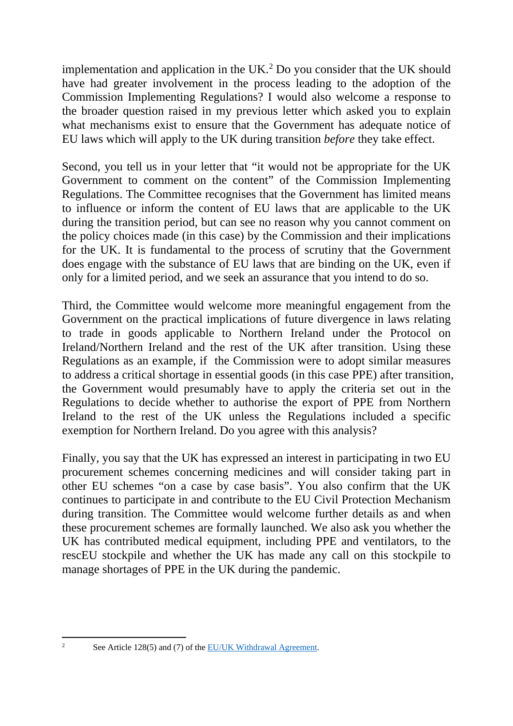implementation and application in the UK.<sup>[2](#page-1-0)</sup> Do you consider that the UK should have had greater involvement in the process leading to the adoption of the Commission Implementing Regulations? I would also welcome a response to the broader question raised in my previous letter which asked you to explain what mechanisms exist to ensure that the Government has adequate notice of EU laws which will apply to the UK during transition *before* they take effect.

Second, you tell us in your letter that "it would not be appropriate for the UK Government to comment on the content" of the Commission Implementing Regulations. The Committee recognises that the Government has limited means to influence or inform the content of EU laws that are applicable to the UK during the transition period, but can see no reason why you cannot comment on the policy choices made (in this case) by the Commission and their implications for the UK. It is fundamental to the process of scrutiny that the Government does engage with the substance of EU laws that are binding on the UK, even if only for a limited period, and we seek an assurance that you intend to do so.

Third, the Committee would welcome more meaningful engagement from the Government on the practical implications of future divergence in laws relating to trade in goods applicable to Northern Ireland under the Protocol on Ireland/Northern Ireland and the rest of the UK after transition. Using these Regulations as an example, if the Commission were to adopt similar measures to address a critical shortage in essential goods (in this case PPE) after transition, the Government would presumably have to apply the criteria set out in the Regulations to decide whether to authorise the export of PPE from Northern Ireland to the rest of the UK unless the Regulations included a specific exemption for Northern Ireland. Do you agree with this analysis?

Finally, you say that the UK has expressed an interest in participating in two EU procurement schemes concerning medicines and will consider taking part in other EU schemes "on a case by case basis". You also confirm that the UK continues to participate in and contribute to the EU Civil Protection Mechanism during transition. The Committee would welcome further details as and when these procurement schemes are formally launched. We also ask you whether the UK has contributed medical equipment, including PPE and ventilators, to the rescEU stockpile and whether the UK has made any call on this stockpile to manage shortages of PPE in the UK during the pandemic.

<span id="page-1-0"></span>

<sup>&</sup>lt;sup>2</sup> See Article 128(5) and (7) of the [EU/UK Withdrawal Agreement.](https://assets.publishing.service.gov.uk/government/uploads/system/uploads/attachment_data/file/840655/Agreement_on_the_withdrawal_of_the_United_Kingdom_of_Great_Britain_and_Northern_Ireland_from_the_European_Union_and_the_European_Atomic_Energy_Community.pdf)